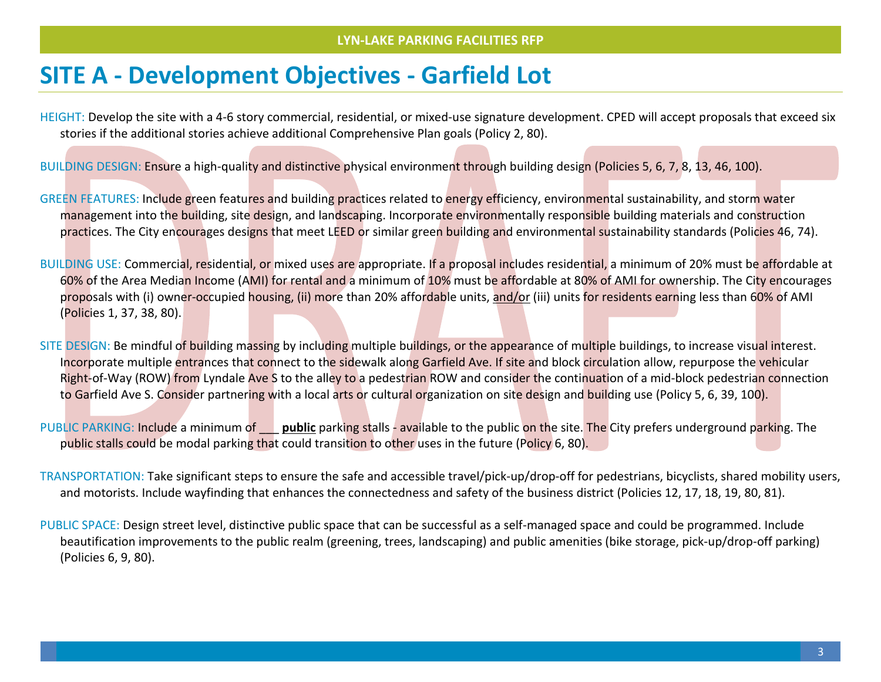## **SITE A - Development Objectives - Garfield Lot**

HEIGHT: Develop the site with a 4-6 story commercial, residential, or mixed-use signature development. CPED will accept proposals that exceed six stories if the additional stories achieve additional Comprehensive Plan goals (Policy 2, 80).

BUILDING DESIGN: Ensure a high-quality and distinctive physical environment through building design (Policies 5, [6,](https://minneapolis2040.com/policies/pedestrian-oriented-building-and-site-design/) 7, 8, 13, 46, 100).

GREEN FEATURES: Include green features and building practices related to energy efficiency, environmental sustainability, and storm water management into the building, site design, and landscaping. Incorporate environmentally responsible building materials and construction practices. The City encourages designs that meet LEED or similar green building and environmental sustainability standards (Policies 46, 74).

BUILDING USE: Commercial, residential, or mixed uses are appropriate. If a proposal includes residential, a minimum of 20% must be affordable at 60% of the Area Median Income (AMI) for rental and a minimum of 10% must be affordable at 80% of AMI for ownership. The City encourages proposals with (i) owner-occupied housing, (ii) more than 20% affordable units, and/or (iii) units for residents earning less than 60% of AMI (Policies 1, 37, 38, 80).

SITE DESIGN: Be mindful of building massing by including multiple buildings, or the appearance of multiple buildings, to increase visual interest. Incorporate multiple entrances that connect to the sidewalk along Garfield Ave. If site and block circulation allow, repurpose the vehicular Right-of-Way (ROW) from Lyndale Ave S to the alley to a pedestrian ROW and consider the continuation of a mid-block pedestrian connection to Garfield Ave S. Consider partnering with a local arts or cultural organization on site design and building use (Policy 5, 6, 39, 100).

PUBLIC PARKING: Include a minimum of \_\_\_ **public** parking stalls - available to the public on the site. The City prefers underground parking. The public stalls could be modal parking that could transition to other uses in the future (Policy 6, 80).

TRANSPORTATION: Take significant steps to ensure the safe and accessible travel/pick-up/drop-off for pedestrians, bicyclists, shared mobility users, and motorists. Include wayfinding that enhances the connectedness and safety of the business district (Policies 12, 17, 18, 19, 80, 81).

PUBLIC SPACE: Design street level, distinctive public space that can be successful as a self-managed space and could be programmed. Include beautification improvements to the public realm (greening, trees, landscaping) and public amenities (bike storage, pick-up/drop-off parking) (Policies 6, 9, 80).